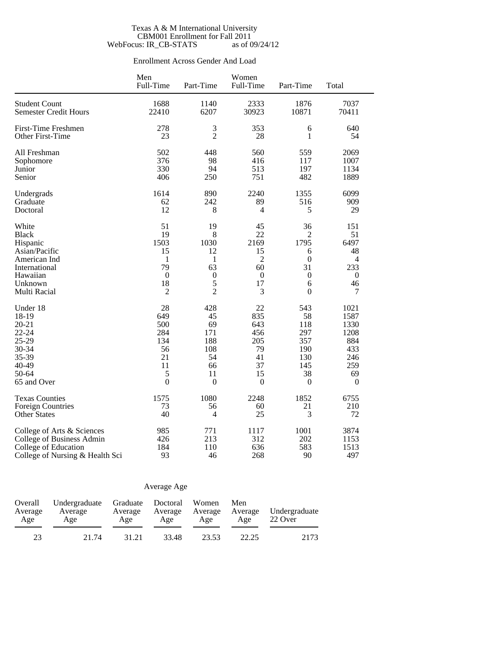### Texas A & M International University CBM001 Enrollment for Fall 2011 WebFocus: IR\_CB-STATS as of 09/24/12

## Enrollment Across Gender And Load

|                                 | Men<br>Full-Time | Part-Time        | Women<br>Full-Time | Part-Time        | Total            |
|---------------------------------|------------------|------------------|--------------------|------------------|------------------|
| <b>Student Count</b>            | 1688             | 1140             | 2333               | 1876             | 7037             |
| <b>Semester Credit Hours</b>    | 22410            | 6207             | 30923              | 10871            | 70411            |
| <b>First-Time Freshmen</b>      | 278              | 3                | 353                | 6                | 640              |
| Other First-Time                | 23               | $\overline{2}$   | 28                 | 1                | 54               |
| All Freshman                    | 502              | 448              | 560                | 559              | 2069             |
| Sophomore                       | 376              | 98               | 416                | 117              | 1007             |
| Junior                          | 330              | 94               | 513                | 197              | 1134             |
| Senior                          | 406              | 250              | 751                | 482              | 1889             |
| Undergrads                      | 1614             | 890              | 2240               | 1355             | 6099             |
| Graduate                        | 62               | 242              | 89                 | 516              | 909              |
| Doctoral                        | 12               | 8                | 4                  | 5                | 29               |
| White                           | 51               | 19               | 45                 | 36               | 151              |
| <b>Black</b>                    | 19               | 8                | 22                 | $\overline{2}$   | 51               |
| Hispanic                        | 1503             | 1030             | 2169               | 1795             | 6497             |
| Asian/Pacific                   | 15               | 12               | 15                 | 6                | 48               |
| American Ind                    | 1                | 1                | $\overline{2}$     | $\boldsymbol{0}$ | 4                |
| International                   | 79               | 63               | 60                 | 31               | 233              |
| Hawaiian                        | $\boldsymbol{0}$ | $\boldsymbol{0}$ | $\boldsymbol{0}$   | $\boldsymbol{0}$ | $\boldsymbol{0}$ |
| Unknown                         | 18               | 5                | 17                 | 6                | 46               |
| Multi Racial                    | $\overline{2}$   | $\overline{2}$   | 3                  | $\mathbf{0}$     | 7                |
| Under 18                        | 28               | 428              | 22                 | 543              | 1021             |
| 18-19                           | 649              | 45               | 835                | 58               | 1587             |
| $20 - 21$                       | 500              | 69               | 643                | 118              | 1330             |
| 22-24                           | 284              | 171              | 456                | 297              | 1208             |
| 25-29                           | 134              | 188              | 205                | 357              | 884              |
| 30-34                           | 56               | 108              | 79                 | 190              | 433              |
| 35-39                           | 21               | 54               | 41                 | 130              | 246              |
| 40-49                           | 11               | 66               | 37                 | 145              | 259              |
| 50-64                           | 5                | 11               | 15                 | 38               | 69               |
| 65 and Over                     | $\overline{0}$   | $\mathbf{0}$     | $\mathbf{0}$       | $\boldsymbol{0}$ | $\boldsymbol{0}$ |
| <b>Texas Counties</b>           | 1575             | 1080             | 2248               | 1852             | 6755             |
| <b>Foreign Countries</b>        | 73               | 56               | 60                 | 21               | 210              |
| <b>Other States</b>             | 40               | 4                | 25                 | 3                | 72               |
| College of Arts & Sciences      | 985              | 771              | 1117               | 1001             | 3874             |
| College of Business Admin       | 426              | 213              | 312                | 202              | 1153             |
| College of Education            | 184              | 110              | 636                | 583              | 1513             |
| College of Nursing & Health Sci | 93               | 46               | 268                | 90               | 497              |

## Average Age

| Overall<br>Average<br>Age | Undergraduate Graduate Doctoral<br>Average<br>Age | Average<br>Age | Average<br>Age | Women<br>Average<br>Age | Men<br>Average<br>Age | Undergraduate<br>22 Over |  |
|---------------------------|---------------------------------------------------|----------------|----------------|-------------------------|-----------------------|--------------------------|--|
| 23                        | 21.74                                             | 31.21          | 33.48          | 23.53                   | 22.25                 | 2173                     |  |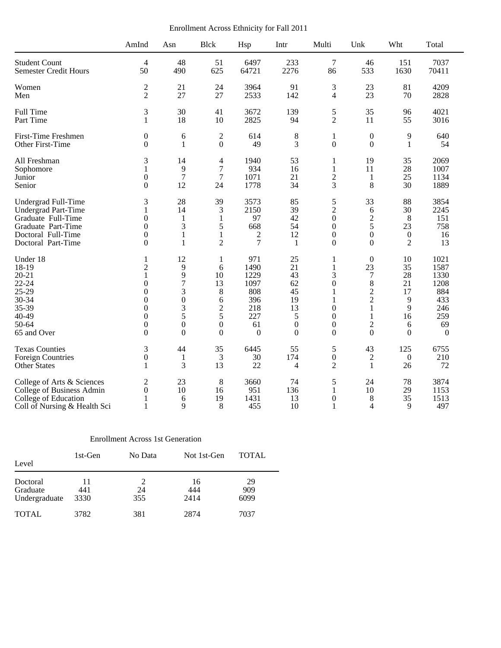Enrollment Across Ethnicity for Fall 2011

|                              | AmInd            | Asn              | <b>Blck</b>             | Hsp            | Intr           | Multi            | Unk              | Wht              | Total            |
|------------------------------|------------------|------------------|-------------------------|----------------|----------------|------------------|------------------|------------------|------------------|
| <b>Student Count</b>         | $\overline{4}$   | 48               | 51                      | 6497           | 233            | $\overline{7}$   | 46               | 151              | 7037             |
| <b>Semester Credit Hours</b> | 50               | 490              | 625                     | 64721          | 2276           | 86               | 533              | 1630             | 70411            |
| Women                        | $\mathfrak 2$    | 21               | 24                      | 3964           | 91             | 3                | 23               | 81               | 4209             |
| Men                          | $\overline{2}$   | 27               | 27                      | 2533           | 142            | $\overline{4}$   | 23               | 70               | 2828             |
| Full Time                    | 3                | 30               | 41                      | 3672           | 139            | 5                | 35               | 96               | 4021             |
| Part Time                    | 1                | 18               | 10                      | 2825           | 94             | $\overline{2}$   | 11               | 55               | 3016             |
| First-Time Freshmen          | $\boldsymbol{0}$ | 6                | $\overline{2}$          | 614            | 8              | $\mathbf{1}$     | $\boldsymbol{0}$ | 9                | 640              |
| Other First-Time             | $\Omega$         | 1                | $\mathbf{0}$            | 49             | 3              | $\boldsymbol{0}$ | $\Omega$         | 1                | 54               |
| All Freshman                 | 3                | 14               | $\overline{\mathbf{4}}$ | 1940           | 53             | 1                | 19               | 35               | 2069             |
| Sophomore                    | 1                | 9                | 7                       | 934            | 16             | 1                | 11               | 28               | 1007             |
| Junior                       | $\boldsymbol{0}$ | $\overline{7}$   | 7                       | 1071           | 21             | $\overline{2}$   | 1                | 25               | 1134             |
| Senior                       | $\Omega$         | 12               | 24                      | 1778           | 34             | 3                | 8                | 30               | 1889             |
| Undergrad Full-Time          | 3                | 28               | 39                      | 3573           | 85             | 5                | 33               | 88               | 3854             |
| Undergrad Part-Time          | 1                | 14               | 3                       | 2150           | 39             | $\overline{c}$   | 6                | 30               | 2245             |
| Graduate Full-Time           | $\mathbf{0}$     | 1                | 1                       | 97             | 42             | $\mathbf{0}$     | $\sqrt{2}$       | 8                | 151              |
| Graduate Part-Time           | $\boldsymbol{0}$ | 3                | 5                       | 668            | 54             | $\boldsymbol{0}$ | 5                | 23               | 758              |
| Doctoral Full-Time           | $\mathbf{0}$     | 1                | 1                       | 2              | 12             | $\mathbf{0}$     | $\boldsymbol{0}$ | $\mathbf{0}$     | 16               |
| Doctoral Part-Time           | $\Omega$         | 1                | $\overline{2}$          | $\overline{7}$ | 1              | $\mathbf{0}$     | $\Omega$         | $\overline{2}$   | 13               |
| Under 18                     | 1                | 12               | 1                       | 971            | 25             | 1                | $\mathbf{0}$     | 10               | 1021             |
| 18-19                        | $\overline{c}$   | 9                | 6                       | 1490           | 21             | $\mathbf{1}$     | 23               | 35               | 1587             |
| $20 - 21$                    | 1                | 9                | 10                      | 1229           | 43             | 3                | $\tau$           | 28               | 1330             |
| $22 - 24$                    | $\theta$         | $\overline{7}$   | 13                      | 1097           | 62             | $\theta$         | $\,8\,$          | 21               | 1208             |
| 25-29                        | $\theta$         | 3                | 8                       | 808            | 45             | 1                | $\sqrt{2}$       | 17               | 884              |
| 30-34                        | $\boldsymbol{0}$ | $\boldsymbol{0}$ | 6                       | 396            | 19             | 1                | $\overline{2}$   | 9                | 433              |
| 35-39                        | $\boldsymbol{0}$ | 3                | $\overline{c}$          | 218            | 13             | $\mathbf{0}$     | $\mathbf{1}$     | 9                | 246              |
| 40-49                        | $\boldsymbol{0}$ | 5                | 5                       | 227            | 5              | $\boldsymbol{0}$ | $\mathbf{1}$     | 16               | 259              |
| 50-64                        | $\mathbf{0}$     | $\boldsymbol{0}$ | $\boldsymbol{0}$        | 61             | $\theta$       | $\mathbf{0}$     | $\mathfrak 2$    | 6                | 69               |
| 65 and Over                  | $\Omega$         | $\Omega$         | $\Omega$                | $\Omega$       | $\Omega$       | $\Omega$         | $\Omega$         | $\Omega$         | $\boldsymbol{0}$ |
| <b>Texas Counties</b>        | 3                | 44               | 35                      | 6445           | 55             | 5                | 43               | 125              | 6755             |
| <b>Foreign Countries</b>     | $\boldsymbol{0}$ | 1                | 3                       | 30             | 174            | $\boldsymbol{0}$ | $\overline{c}$   | $\boldsymbol{0}$ | 210              |
| <b>Other States</b>          | 1                | 3                | 13                      | 22             | $\overline{4}$ | $\overline{2}$   | $\mathbf{1}$     | 26               | 72               |
| College of Arts & Sciences   | $\overline{c}$   | 23               | 8                       | 3660           | 74             | 5                | 24               | 78               | 3874             |
| College of Business Admin    | $\mathbf{0}$     | 10               | 16                      | 951            | 136            | $\mathbf{1}$     | 10               | 29               | 1153             |
| College of Education         | 1                | 6                | 19                      | 1431           | 13             | $\overline{0}$   | 8                | 35               | 1513             |
| Coll of Nursing & Health Sci | 1                | 9                | 8                       | 455            | 10             | 1                | $\overline{4}$   | 9                | 497              |

## Enrollment Across 1st Generation

| Level                                 | 1st-Gen           | No Data   | Not 1st-Gen       | <b>TOTAL</b>      |  |
|---------------------------------------|-------------------|-----------|-------------------|-------------------|--|
| Doctoral<br>Graduate<br>Undergraduate | 11<br>441<br>3330 | 24<br>355 | 16<br>444<br>2414 | 29<br>909<br>6099 |  |
| <b>TOTAL</b>                          | 3782              | 381       | 2874              | 7037              |  |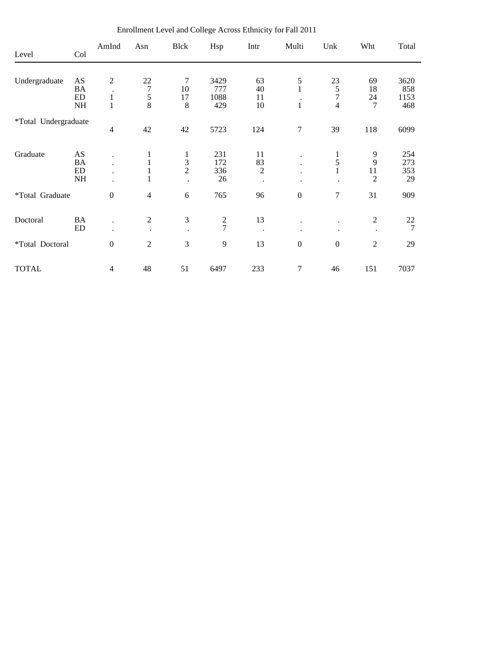| Level                | Col       | AmInd            | Asn                  | Blck          | Hsp           | Intr           | Multi                | Unk              | Wht            | Total |
|----------------------|-----------|------------------|----------------------|---------------|---------------|----------------|----------------------|------------------|----------------|-------|
|                      |           |                  |                      |               |               |                |                      |                  |                |       |
| Undergraduate        | AS        | $\overline{2}$   | 22                   | 7             | 3429          | 63             | 5                    | 23               | 69             | 3620  |
|                      | BA        |                  | $\overline{7}$       | 10            | 777           | 40             | $\mathbf{1}$         |                  | 18             | 858   |
|                      | ED        | $\mathbf{1}$     | 5                    | 17            | 1088          | 11             |                      | $\frac{5}{7}$    | 24             | 1153  |
|                      | NH        | 1                | 8                    | 8             | 429           | 10             | $\mathbf{1}$         | 4                | 7              | 468   |
| *Total Undergraduate |           |                  |                      |               |               |                |                      |                  |                |       |
|                      |           | 4                | 42                   | 42            | 5723          | 124            | 7                    | 39               | 118            | 6099  |
| Graduate             | AS        |                  | 1                    | 1             | 231           | 11             |                      | 1                | 9              | 254   |
|                      | <b>BA</b> |                  | $\mathbf{1}$         |               | 172           | 83             | $\ddot{\phantom{0}}$ | 5                | 9              | 273   |
|                      | ED        |                  | $\mathbf{1}$         | $\frac{3}{2}$ | 336           | $\overline{2}$ | $\ddot{\phantom{a}}$ |                  | 11             | 353   |
|                      | <b>NH</b> |                  | 1                    |               | 26            |                |                      |                  | $\overline{2}$ | 29    |
|                      |           |                  |                      |               |               |                |                      | $\tau$           |                |       |
| *Total Graduate      |           | $\boldsymbol{0}$ | $\overline{4}$       | 6             | 765           | 96             | $\boldsymbol{0}$     |                  | 31             | 909   |
| Doctoral             | <b>BA</b> |                  | $\overline{2}$       | 3             |               | 13             |                      |                  | $\mathfrak{2}$ | 22    |
|                      | ED        | $\bullet$        | $\ddot{\phantom{a}}$ |               | $\frac{2}{7}$ | $\bullet$      | ٠                    |                  | $\bullet$      | 7     |
|                      |           |                  |                      |               |               |                |                      |                  |                |       |
| *Total Doctoral      |           | $\boldsymbol{0}$ | $\overline{2}$       | 3             | 9             | 13             | $\boldsymbol{0}$     | $\boldsymbol{0}$ | $\overline{2}$ | 29    |
| <b>TOTAL</b>         |           | 4                | 48                   | 51            | 6497          | 233            | 7                    | 46               | 151            | 7037  |

Enrollment Level and College Across Ethnicity for Fall 2011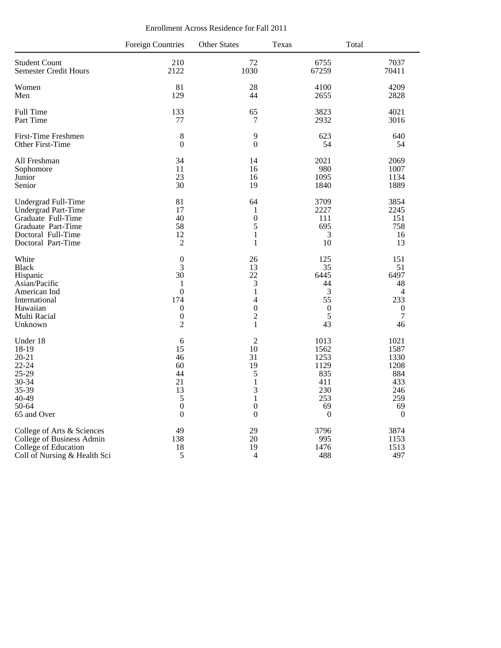| Enrollment Across Residence for Fall 2011 |  |  |  |
|-------------------------------------------|--|--|--|
|-------------------------------------------|--|--|--|

|                              | <b>Foreign Countries</b> | <b>Other States</b> | Texas            | Total            |
|------------------------------|--------------------------|---------------------|------------------|------------------|
| <b>Student Count</b>         | 210                      | 72                  | 6755             | 7037             |
| <b>Semester Credit Hours</b> | 2122                     | 1030                | 67259            | 70411            |
| Women                        | 81                       | 28                  | 4100             | 4209             |
| Men                          | 129                      | 44                  | 2655             | 2828             |
| <b>Full Time</b>             | 133                      | 65                  | 3823             | 4021             |
| Part Time                    | 77                       | $\tau$              | 2932             | 3016             |
| <b>First-Time Freshmen</b>   | 8                        | 9                   | 623              | 640              |
| Other First-Time             | $\boldsymbol{0}$         | $\boldsymbol{0}$    | 54               | 54               |
| All Freshman                 | 34                       | 14                  | 2021             | 2069             |
| Sophomore                    | 11                       | 16                  | 980              | 1007             |
| Junior                       | 23                       | 16                  | 1095             | 1134             |
| Senior                       | 30                       | 19                  | 1840             | 1889             |
| Undergrad Full-Time          | 81                       | 64                  | 3709             | 3854             |
| <b>Undergrad Part-Time</b>   | 17                       | 1                   | 2227             | 2245             |
| Graduate Full-Time           | 40                       | $\boldsymbol{0}$    | 111              | 151              |
| Graduate Part-Time           | 58                       | 5                   | 695              | 758              |
| Doctoral Full-Time           | 12                       | $\mathbf{1}$        | 3                | 16               |
| Doctoral Part-Time           | $\overline{2}$           | 1                   | 10               | 13               |
| White                        | $\boldsymbol{0}$         | 26                  | 125              | 151              |
| <b>Black</b>                 | 3                        | 13                  | 35               | 51               |
| Hispanic                     | 30                       | 22                  | 6445             | 6497             |
| Asian/Pacific                | 1                        | 3                   | 44               | 48               |
| American Ind                 | $\boldsymbol{0}$         | $\,1$               | $\mathfrak{Z}$   | $\overline{4}$   |
| International                | 174                      | 4                   | 55               | 233              |
| Hawaiian                     | $\boldsymbol{0}$         | $\boldsymbol{0}$    | $\mathbf{0}$     | $\boldsymbol{0}$ |
| Multi Racial                 | $\boldsymbol{0}$         | $\overline{2}$      | 5                | $\overline{7}$   |
| Unknown                      | $\overline{2}$           | $\mathbf{1}$        | 43               | 46               |
| Under 18                     | 6                        | $\overline{2}$      | 1013             | 1021             |
| 18-19                        | 15                       | 10                  | 1562             | 1587             |
| $20 - 21$                    | 46                       | 31                  | 1253             | 1330             |
| $22 - 24$                    | 60                       | 19                  | 1129             | 1208             |
| 25-29                        | 44                       | 5                   | 835              | 884              |
| 30-34                        | 21                       | $\,1$               | 411              | 433              |
| 35-39                        | 13                       | 3                   | 230              | 246              |
| 40-49                        | 5                        | $\mathbf{1}$        | 253              | 259              |
| 50-64                        | $\boldsymbol{0}$         | $\boldsymbol{0}$    | 69               | 69               |
| 65 and Over                  | $\boldsymbol{0}$         | $\boldsymbol{0}$    | $\boldsymbol{0}$ | $\overline{0}$   |
| College of Arts & Sciences   | 49                       | 29                  | 3796             | 3874             |
| College of Business Admin    | 138                      | 20                  | 995              | 1153             |
| College of Education         | 18                       | 19                  | 1476             | 1513             |
| Coll of Nursing & Health Sci | 5                        | $\overline{4}$      | 488              | 497              |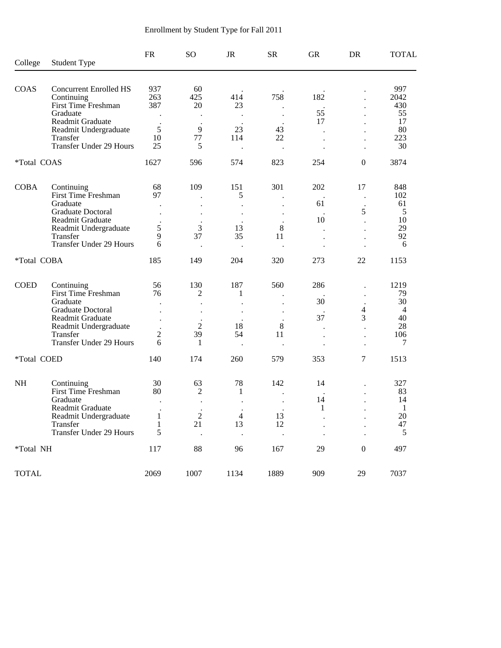| College      | <b>Student Type</b>                        | <b>FR</b>           | <sub>SO</sub> | <b>JR</b>      | <b>SR</b>            | <b>GR</b> | DR                   | <b>TOTAL</b>     |
|--------------|--------------------------------------------|---------------------|---------------|----------------|----------------------|-----------|----------------------|------------------|
|              |                                            |                     |               |                |                      |           |                      |                  |
| COAS         | <b>Concurrent Enrolled HS</b>              | 937                 | 60            |                |                      |           |                      | 997              |
|              | Continuing<br>First Time Freshman          | 263<br>387          | 425           | 414            | 758                  | 182       |                      | 2042             |
|              | Graduate                                   |                     | 20            | 23             |                      | 55        |                      | 430<br>55        |
|              | Readmit Graduate                           |                     |               |                |                      | 17        |                      | 17               |
|              | Readmit Undergraduate                      | 5                   | 9             | 23             | 43                   |           |                      | 80               |
|              | Transfer                                   | 10                  | 77            | 114            | 22                   |           |                      | 223              |
|              | <b>Transfer Under 29 Hours</b>             | 25                  | 5             |                |                      |           | $\ddot{\phantom{0}}$ | 30               |
| *Total COAS  |                                            | 1627                | 596           | 574            | 823                  | 254       | $\boldsymbol{0}$     | 3874             |
| <b>COBA</b>  | Continuing                                 | 68                  | 109           | 151            | 301                  | 202       | 17                   | 848              |
|              | First Time Freshman                        | 97                  |               | 5              |                      |           | $\ddot{\phantom{a}}$ | 102              |
|              | Graduate                                   |                     |               |                |                      | 61        |                      | 61               |
|              | <b>Graduate Doctoral</b>                   |                     |               |                |                      |           | 5                    | 5                |
|              | Readmit Graduate                           |                     |               |                |                      | 10        |                      | 10               |
|              | Readmit Undergraduate<br>Transfer          | 5<br>9              | 3<br>37       | 13<br>35       | $8\,$<br>11          |           |                      | 29<br>92         |
|              | <b>Transfer Under 29 Hours</b>             | 6                   |               |                |                      |           |                      | 6                |
| *Total COBA  |                                            | 185                 | 149           | 204            | 320                  | 273       | 22                   | 1153             |
| <b>COED</b>  | Continuing                                 | 56                  | 130           | 187            | 560                  | 286       |                      | 1219             |
|              | First Time Freshman                        | 76                  | 2             | 1              |                      |           |                      | 79               |
|              | Graduate                                   |                     |               |                |                      | 30        |                      | 30               |
|              | <b>Graduate Doctoral</b>                   |                     |               |                |                      |           | 4                    | $\overline{4}$   |
|              | Readmit Graduate                           |                     |               |                |                      | 37        | 3                    | 40               |
|              | Readmit Undergraduate                      |                     | 2             | 18             | 8                    |           |                      | 28               |
|              | Transfer<br>Transfer Under 29 Hours        | $\overline{c}$<br>6 | 39<br>1       | 54             | 11                   |           |                      | 106<br>7         |
|              |                                            |                     |               |                |                      |           |                      |                  |
| *Total COED  |                                            | 140                 | 174           | 260            | 579                  | 353       | 7                    | 1513             |
| <b>NH</b>    | Continuing                                 | 30                  | 63            | 78             | 142                  | 14        |                      | 327              |
|              | First Time Freshman                        | 80                  | 2             | 1              |                      |           |                      | 83               |
|              | Graduate                                   | $\bullet$           |               |                |                      | 14        |                      | 14               |
|              | Readmit Graduate                           |                     |               |                |                      | 1         |                      | 1                |
|              | Readmit Undergraduate                      | $\mathbf{1}$        | $\sqrt{2}$    | $\overline{4}$ | 13                   |           |                      | 20               |
|              | Transfer<br><b>Transfer Under 29 Hours</b> | 1<br>5              | 21            | 13             | 12<br>$\blacksquare$ |           |                      | 47<br>$\sqrt{5}$ |
| *Total NH    |                                            | 117                 | 88            | 96             | 167                  | 29        | $\boldsymbol{0}$     | 497              |
|              |                                            |                     |               |                |                      |           |                      |                  |
| <b>TOTAL</b> |                                            | 2069                | 1007          | 1134           | 1889                 | 909       | 29                   | 7037             |

# Enrollment by Student Type for Fall 2011